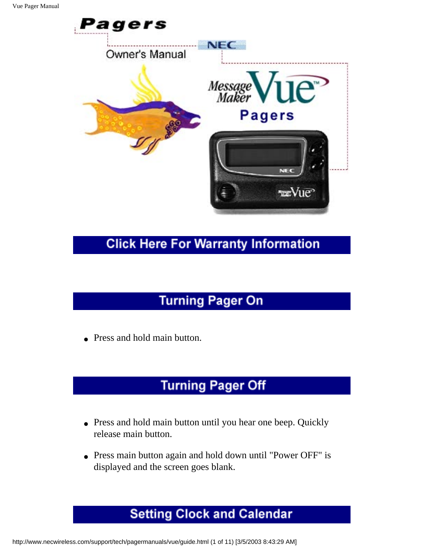

#### **Click Here For Warranty Information**

# **Turning Pager On**

• Press and hold main button.

# **Turning Pager Off**

- Press and hold main button until you hear one beep. Quickly release main button.
- Press main button again and hold down until "Power OFF" is displayed and the screen goes blank.

# **Setting Clock and Calendar**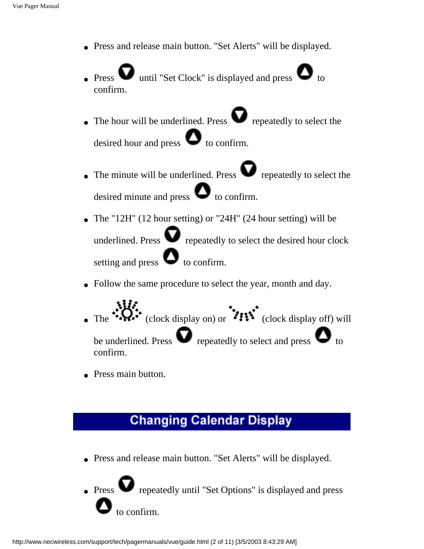- Press and release main button. "Set Alerts" will be displayed.
- Press  $\bullet$  until "Set Clock" is displayed and press  $\bullet$  to confirm.
- The hour will be underlined. Press  $\bullet$  repeatedly to select the desired hour and press  $\bullet$  to confirm.
- The minute will be underlined. Press  $\bullet$  repeatedly to select the desired minute and press  $\bullet$  to confirm.
- The "12H" (12 hour setting) or "24H" (24 hour setting) will be underlined. Press  $\bullet$  repeatedly to select the desired hour clock setting and press  $\bullet$  to confirm.
- Follow the same procedure to select the year, month and day.
- The  $\mathbf{Q}$ : (clock display on) or  $\mathbf{P}$  (clock display off) will be underlined. Press  $\bullet$  repeatedly to select and press  $\bullet$  to confirm.
- Press main button.

### **Changing Calendar Display**

● Press and release main button. "Set Alerts" will be displayed.

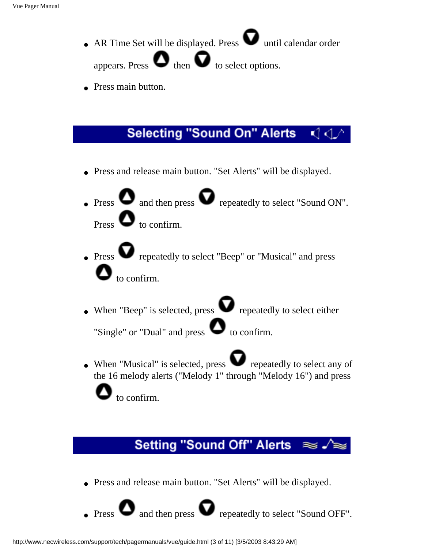- AR Time Set will be displayed. Press  $\bullet$  until calendar order appears. Press  $\bullet$  then  $\bullet$  to select options.
- Press main button.

#### **Selecting "Sound On" Alerts** KI 4.

- Press and release main button. "Set Alerts" will be displayed.
- Press  $\bullet$  and then press  $\bullet$  repeatedly to select "Sound ON". Press  $\bullet$  to confirm.
- $\bullet$  Press  $\bullet$  repeatedly to select "Beep" or "Musical" and press  $\bullet$  to confirm.
- When "Beep" is selected, press  $\bullet$  repeatedly to select either

"Single" or "Dual" and press  $\bullet$  to confirm.

• When "Musical" is selected, press  $\bullet$  repeatedly to select any of the 16 melody alerts ("Melody 1" through "Melody 16") and press

to confirm.

# **Setting "Sound Off" Alerts**

● Press and release main button. "Set Alerts" will be displayed.

 $\bullet$  Press  $\bullet$  and then press  $\bullet$  repeatedly to select "Sound OFF".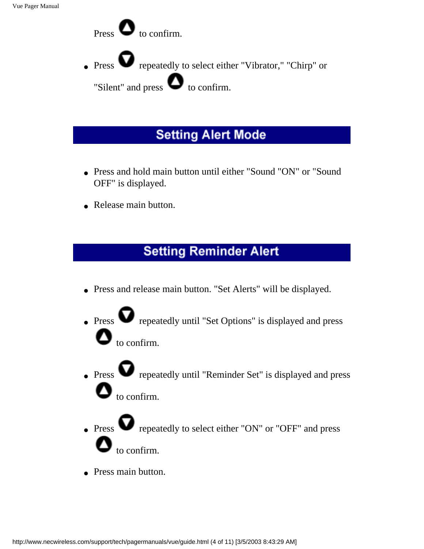

### **Setting Alert Mode**

- Press and hold main button until either "Sound "ON" or "Sound" OFF" is displayed.
- Release main button.

# **Setting Reminder Alert**

- Press and release main button. "Set Alerts" will be displayed.
- Press  $\bullet$  repeatedly until "Set Options" is displayed and press to confirm.
- $\bullet$  Press  $\bullet$  repeatedly until "Reminder Set" is displayed and press  $\bullet$  to confirm.
- $\bullet$  Press  $\bullet$  repeatedly to select either "ON" or "OFF" and press to confirm.
- Press main button.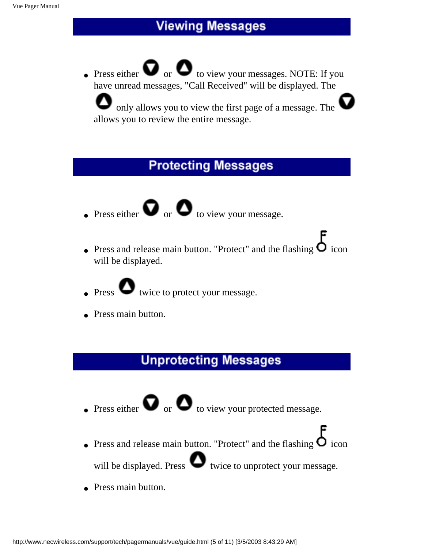### **Viewing Messages**

• Press either  $\bullet$  or  $\bullet$  to view your messages. NOTE: If you have unread messages, "Call Received" will be displayed. The

 only allows you to view the first page of a message. The allows you to review the entire message.

#### **Protecting Messages**

- Press either  $\bullet$  or  $\bullet$  to view your message.
- Press and release main button. "Protect" and the flashing  $\bullet$  icon will be displayed.
- $\bullet$  Press  $\bullet$  twice to protect your message.
- Press main button.

### **Unprotecting Messages**

- Press either  $\bullet$  or  $\bullet$  to view your protected message.
- Press and release main button. "Protect" and the flashing  $\bullet$  icon will be displayed. Press  $\bullet$  twice to unprotect your message.
- Press main button.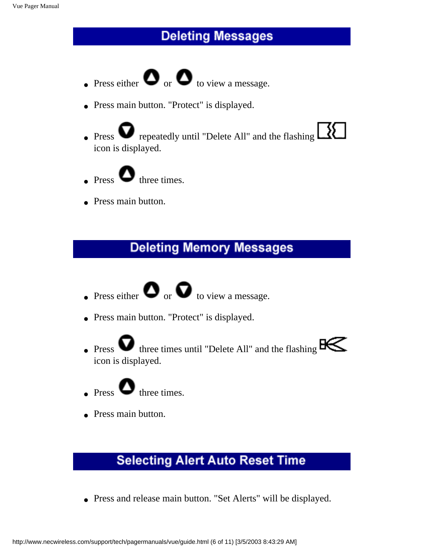### **Deleting Messages**

- $\bullet$  Press either  $\bullet$  or  $\bullet$  to view a message.
- Press main button. "Protect" is displayed.
- Press  $\bullet$  repeatedly until "Delete All" and the flashing  $\Box$ icon is displayed.
- $\bullet$  Press  $\bullet$  three times.
- Press main button.

### **Deleting Memory Messages**

- Press either  $\bullet$  or  $\bullet$  to view a message.
- Press main button. "Protect" is displayed.
- Press  $\bullet$  three times until "Delete All" and the flashing  $B\leftarrow$ icon is displayed.



• Press main button.

# **Selecting Alert Auto Reset Time**

● Press and release main button. "Set Alerts" will be displayed.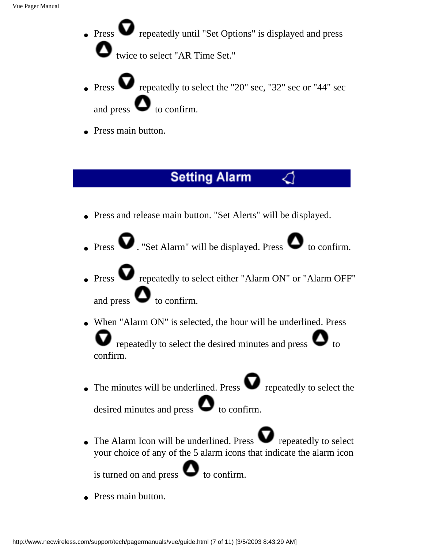- Press **v** repeatedly until "Set Options" is displayed and press twice to select "AR Time Set."
- repeatedly to select the "20" sec, "32" sec or "44" sec and press  $\bullet$  to confirm.
- Press main button.

#### **Setting Alarm**

- Press and release main button. "Set Alerts" will be displayed.
- Press  $\bullet$  . "Set Alarm" will be displayed. Press  $\bullet$  to confirm.
- Press **Press Prepeatedly to select either "Alarm ON" or "Alarm OFF"** and press  $\bullet$  to confirm.
- When "Alarm ON" is selected, the hour will be underlined. Press repeatedly to select the desired minutes and press  $\bullet$  to confirm.
- The minutes will be underlined. Press  $\bullet$  repeatedly to select the

desired minutes and press  $\bullet$  to confirm.

 $\bullet$  The Alarm Icon will be underlined. Press  $\bullet$  repeatedly to select your choice of any of the 5 alarm icons that indicate the alarm icon

is turned on and press  $\bullet$  to confirm.

• Press main button.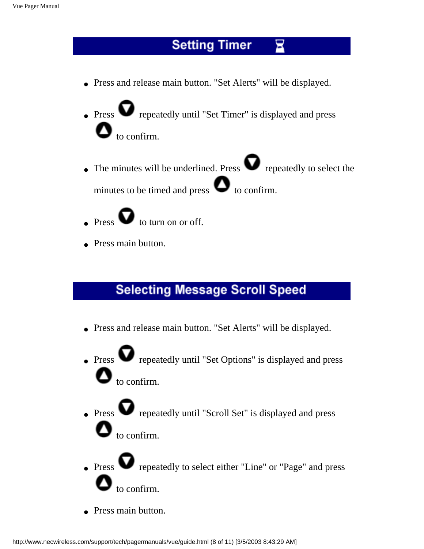# **Setting Timer**

● Press and release main button. "Set Alerts" will be displayed.

 $\bullet$  Press  $\bullet$  repeatedly until "Set Timer" is displayed and press to confirm.

- The minutes will be underlined. Press  $\bullet$  repeatedly to select the minutes to be timed and press  $\bullet$  to confirm.
- $\bullet$  Press  $\bullet$  to turn on or off.
- Press main button.

### **Selecting Message Scroll Speed**

- Press and release main button. "Set Alerts" will be displayed.
- $\bullet$  Press  $\bullet$  repeatedly until "Set Options" is displayed and press  $\bullet$  to confirm.
- $\bullet$  Press  $\bullet$  repeatedly until "Scroll Set" is displayed and press  $\bullet$  to confirm.
- Press **v** repeatedly to select either "Line" or "Page" and press to confirm.
- Press main button.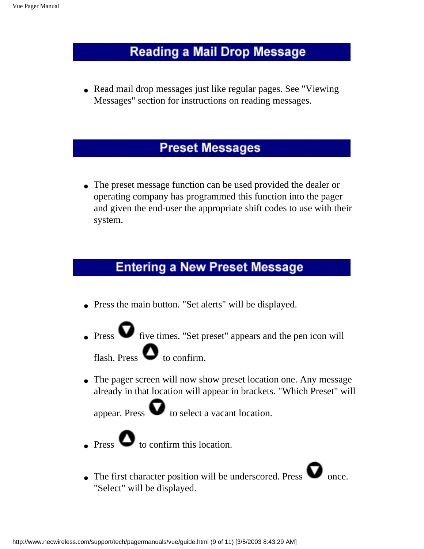#### **Reading a Mail Drop Message**

• Read mail drop messages just like regular pages. See "Viewing" Messages" section for instructions on reading messages.

#### **Preset Messages**

• The preset message function can be used provided the dealer or operating company has programmed this function into the pager and given the end-user the appropriate shift codes to use with their system.

### **Entering a New Preset Message**

- Press the main button. "Set alerts" will be displayed.
- $\bullet$  Press  $\bullet$  five times. "Set preset" appears and the pen icon will flash. Press  $\bullet$  to confirm.

• The pager screen will now show preset location one. Any message already in that location will appear in brackets. "Which Preset" will

appear. Press  $\bullet$  to select a vacant location.



 $\bullet$  Press  $\bullet$  to confirm this location.

 $\bullet$  The first character position will be underscored. Press  $\bullet$  once. "Select" will be displayed.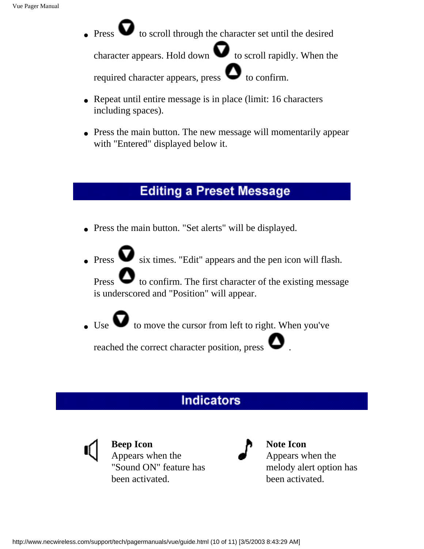$\bullet$  Press  $\bullet$  to scroll through the character set until the desired

character appears. Hold down  $\bullet$  to scroll rapidly. When the required character appears, press  $\bullet$  to confirm.

- Repeat until entire message is in place (limit: 16 characters including spaces).
- Press the main button. The new message will momentarily appear with "Entered" displayed below it.

#### **Editing a Preset Message**

- Press the main button. "Set alerts" will be displayed.
- Press  $\bullet$  six times. "Edit" appears and the pen icon will flash.

Press  $\bullet$  to confirm. The first character of the existing message is underscored and "Position" will appear.

 $\bullet$  Use  $\bullet$  to move the cursor from left to right. When you've

reached the correct character position, press .

# **Indicators**



**Beep Icon** Appears when the "Sound ON" feature has been activated.



**Note Icon** Appears when the melody alert option has been activated.